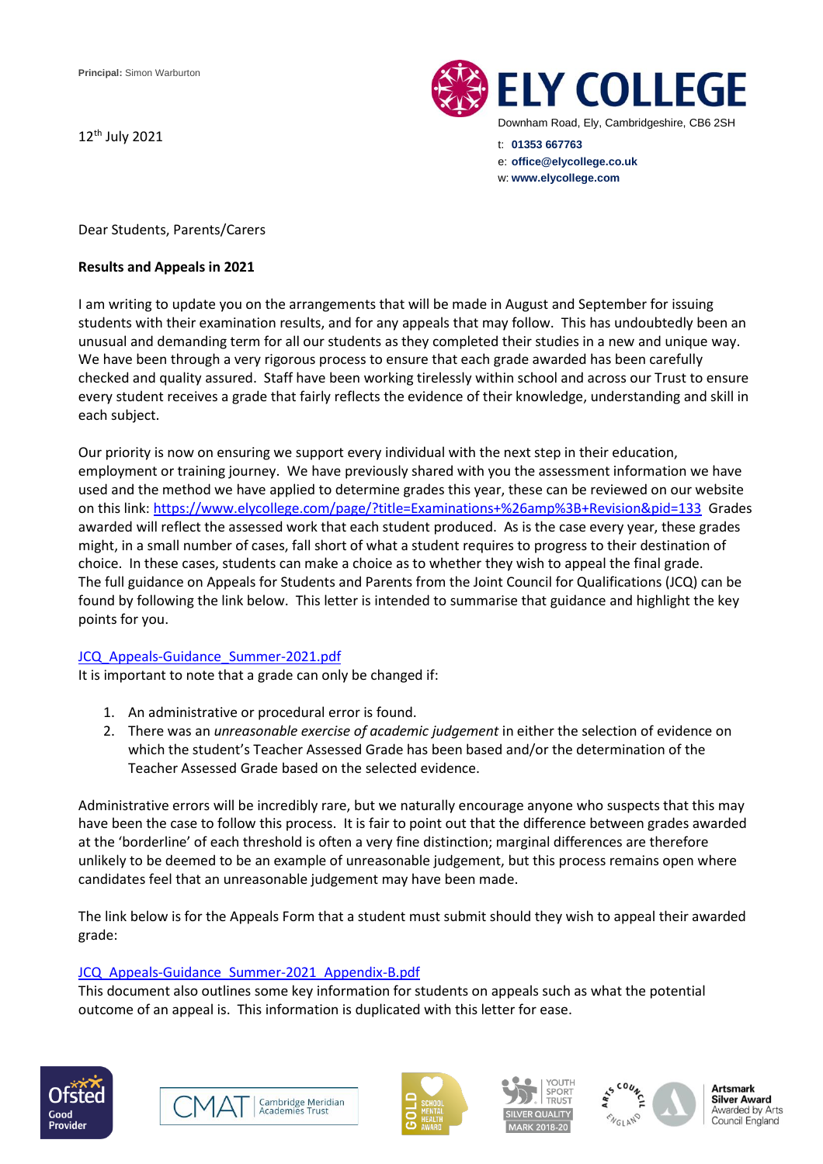12<sup>th</sup> July 2021



Dear Students, Parents/Carers

### **Results and Appeals in 2021**

I am writing to update you on the arrangements that will be made in August and September for issuing students with their examination results, and for any appeals that may follow. This has undoubtedly been an unusual and demanding term for all our students as they completed their studies in a new and unique way. We have been through a very rigorous process to ensure that each grade awarded has been carefully checked and quality assured. Staff have been working tirelessly within school and across our Trust to ensure every student receives a grade that fairly reflects the evidence of their knowledge, understanding and skill in each subject.

Our priority is now on ensuring we support every individual with the next step in their education, employment or training journey. We have previously shared with you the assessment information we have used and the method we have applied to determine grades this year, these can be reviewed on our website on this link: <https://www.elycollege.com/page/?title=Examinations+%26amp%3B+Revision&pid=133>Grades awarded will reflect the assessed work that each student produced. As is the case every year, these grades might, in a small number of cases, fall short of what a student requires to progress to their destination of choice. In these cases, students can make a choice as to whether they wish to appeal the final grade. The full guidance on Appeals for Students and Parents from the Joint Council for Qualifications (JCQ) can be found by following the link below. This letter is intended to summarise that guidance and highlight the key points for you.

# [JCQ\\_Appeals-Guidance\\_Summer-2021.pdf](https://www.jcq.org.uk/wp-content/uploads/2021/06/JCQ_Appeals-Guidance_Summer-2021.pdf)

It is important to note that a grade can only be changed if:

- 1. An administrative or procedural error is found.
- 2. There was an *unreasonable exercise of academic judgement* in either the selection of evidence on which the student's Teacher Assessed Grade has been based and/or the determination of the Teacher Assessed Grade based on the selected evidence.

Administrative errors will be incredibly rare, but we naturally encourage anyone who suspects that this may have been the case to follow this process. It is fair to point out that the difference between grades awarded at the 'borderline' of each threshold is often a very fine distinction; marginal differences are therefore unlikely to be deemed to be an example of unreasonable judgement, but this process remains open where candidates feel that an unreasonable judgement may have been made.

The link below is for the Appeals Form that a student must submit should they wish to appeal their awarded grade:

# [JCQ\\_Appeals-Guidance\\_Summer-2021\\_Appendix-B.pdf](https://www.jcq.org.uk/wp-content/uploads/2021/06/JCQ_Appeals-Guidance_Summer-2021_Appendix-B.pdf)

This document also outlines some key information for students on appeals such as what the potential outcome of an appeal is. This information is duplicated with this letter for ease.











**Artsmark Silver Award** Awarded by Arts Council England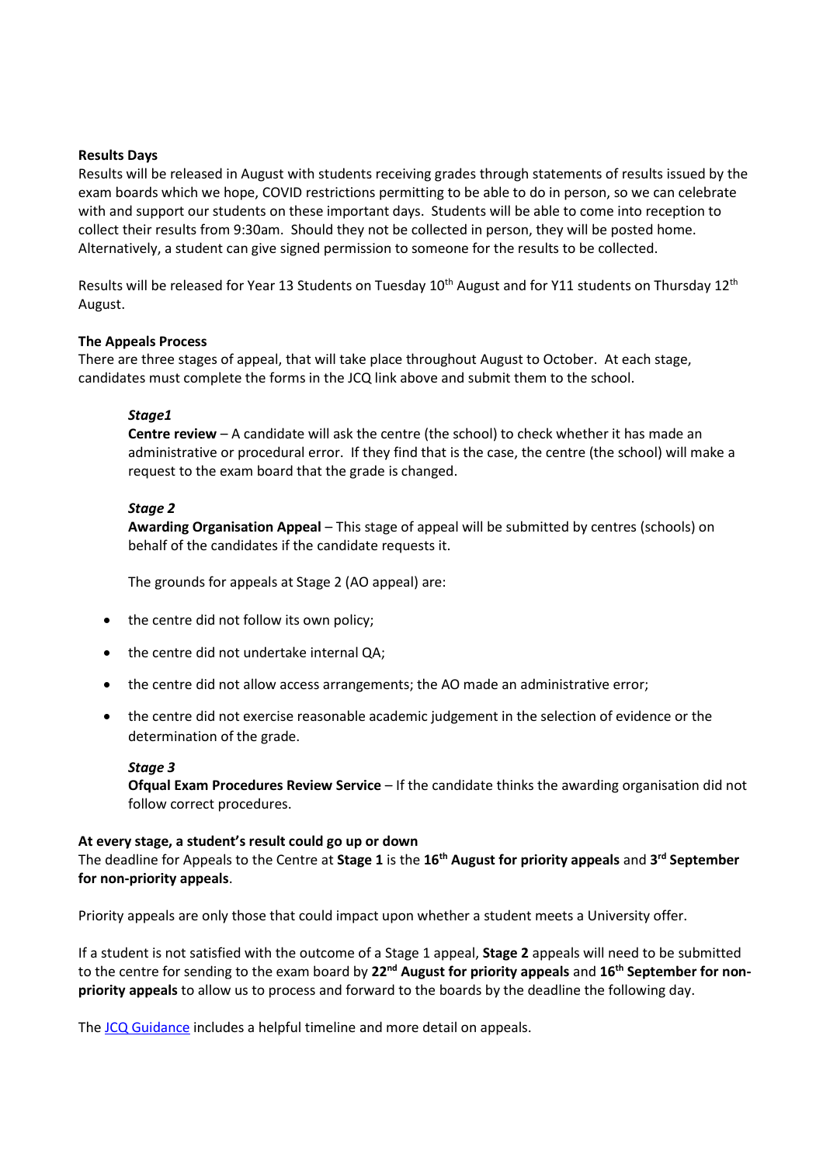### **Results Days**

Results will be released in August with students receiving grades through statements of results issued by the exam boards which we hope, COVID restrictions permitting to be able to do in person, so we can celebrate with and support our students on these important days. Students will be able to come into reception to collect their results from 9:30am. Should they not be collected in person, they will be posted home. Alternatively, a student can give signed permission to someone for the results to be collected.

Results will be released for Year 13 Students on Tuesday 10<sup>th</sup> August and for Y11 students on Thursday 12<sup>th</sup> August.

### **The Appeals Process**

There are three stages of appeal, that will take place throughout August to October. At each stage, candidates must complete the forms in the JCQ link above and submit them to the school.

### *Stage1*

**Centre review** – A candidate will ask the centre (the school) to check whether it has made an administrative or procedural error. If they find that is the case, the centre (the school) will make a request to the exam board that the grade is changed.

### *Stage 2*

**Awarding Organisation Appeal** – This stage of appeal will be submitted by centres (schools) on behalf of the candidates if the candidate requests it.

The grounds for appeals at Stage 2 (AO appeal) are:

- the centre did not follow its own policy;
- the centre did not undertake internal QA;
- the centre did not allow access arrangements; the AO made an administrative error;
- the centre did not exercise reasonable academic judgement in the selection of evidence or the determination of the grade.

#### *Stage 3*

**Ofqual Exam Procedures Review Service** – If the candidate thinks the awarding organisation did not follow correct procedures.

#### **At every stage, a student's result could go up or down**

The deadline for Appeals to the Centre at **Stage 1** is the **16th August for priority appeals** and **3 rd September for non-priority appeals**.

Priority appeals are only those that could impact upon whether a student meets a University offer.

If a student is not satisfied with the outcome of a Stage 1 appeal, **Stage 2** appeals will need to be submitted to the centre for sending to the exam board by **22nd August for priority appeals** and **16th September for nonpriority appeals** to allow us to process and forward to the boards by the deadline the following day.

The [JCQ Guidance](https://www.jcq.org.uk/wp-content/uploads/2021/06/JCQ_Appeals-Guidance_Summer-2021.pdf) includes a helpful timeline and more detail on appeals.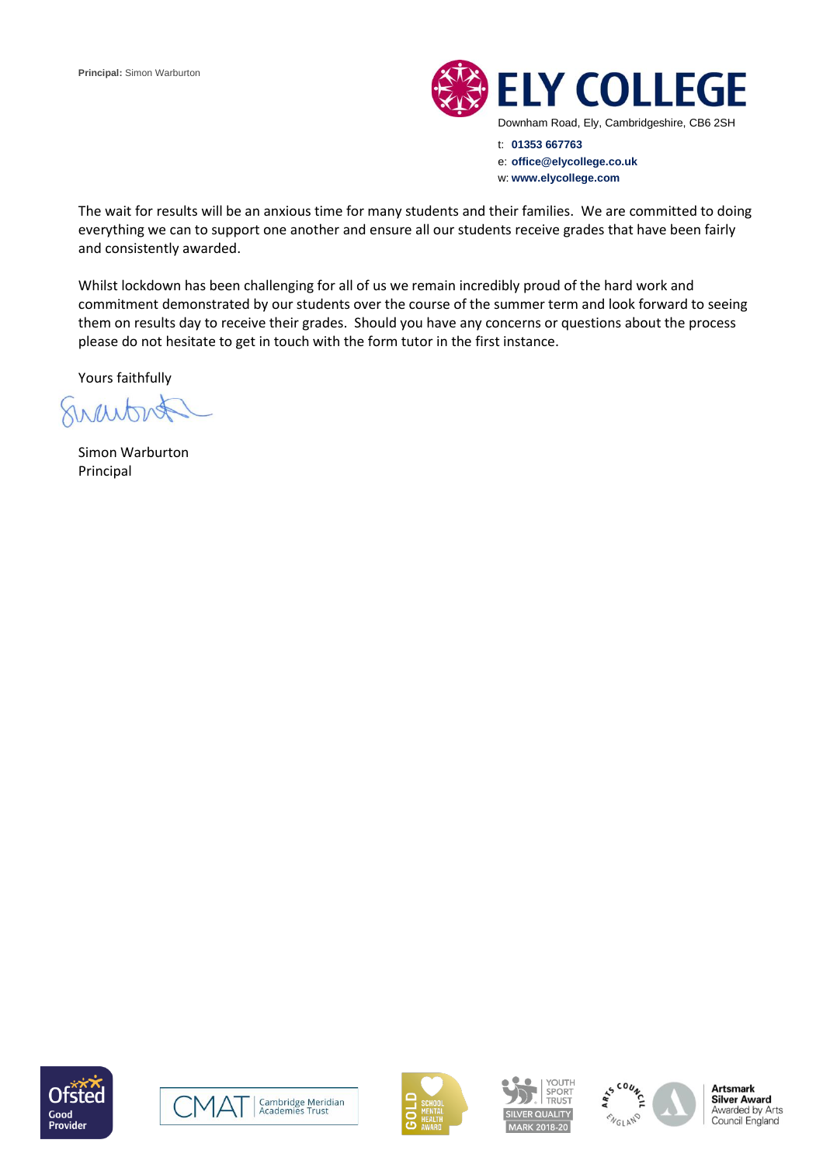

t: **01353 667763** e: **office@elycollege.co.uk** w: **www.elycollege.com**

The wait for results will be an anxious time for many students and their families. We are committed to doing everything we can to support one another and ensure all our students receive grades that have been fairly and consistently awarded.

Whilst lockdown has been challenging for all of us we remain incredibly proud of the hard work and commitment demonstrated by our students over the course of the summer term and look forward to seeing them on results day to receive their grades. Should you have any concerns or questions about the process please do not hesitate to get in touch with the form tutor in the first instance.

Yours faithfully

1 Theory

Simon Warburton Principal













**Artsmark Silver Award** Awarded by Arts Council England